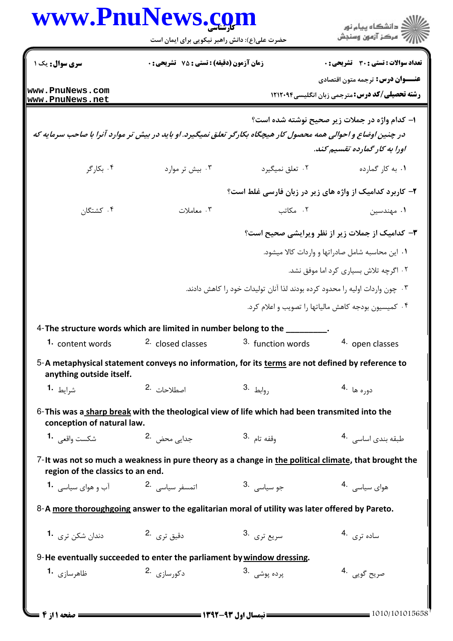| www.PnuNews.com                                     | حضرت علی(ع): دانش راهبر نیکویی برای ایمان است                                                                   |                                                         | ڪ دانشڪاه پيام نور<br>/7 مرڪز آزمون وسنڊش               |
|-----------------------------------------------------|-----------------------------------------------------------------------------------------------------------------|---------------------------------------------------------|---------------------------------------------------------|
| سری سوال: یک ۱                                      | <b>زمان آزمون (دقیقه) : تستی : 75 تشریحی : 0</b>                                                                |                                                         | تعداد سوالات : تستي : 30 ٪ تشريحي : 0                   |
|                                                     |                                                                                                                 |                                                         | <b>عنـــوان درس:</b> ترجمه متون اقتصادی                 |
| www.PnuNews.com<br>www.PnuNews.net                  |                                                                                                                 |                                                         | <b>رشته تحصیلی/کد درس:</b> مترجمی زبان انگلیسی1۲۱۲۰۹۴   |
|                                                     |                                                                                                                 |                                                         | ۱– کدام واژه در جملات زیر صحیح نوشته شده است؟           |
|                                                     | در چنین اوضاع و احوالی همه محصول کار هیچگاه بکارگر تعلق نمیگیرد. او باید در بیش تر موارد آنرا با صاحب سرمایه که |                                                         |                                                         |
|                                                     |                                                                                                                 |                                                         | اورا به کار گمارده تقسیم کند.                           |
| ۰۴ بکارگر                                           | ۰۳ بیش تر موارد                                                                                                 | ۰۲ تعلق نمیگیرد                                         | ۰۱ به کار گمارده                                        |
|                                                     |                                                                                                                 | ۲- کاربرد کدامیک از واژه های زیر در زبان فارسی غلط است؟ |                                                         |
| ۰۴ کشتگان                                           | ۰۳ معاملات                                                                                                      | ٢. مكاتب                                                | ۰۱ مهندسین                                              |
|                                                     |                                                                                                                 |                                                         | <b>۳</b> - کدامیک از جملات زیر از نظر ویرایشی صحیح است؟ |
|                                                     |                                                                                                                 |                                                         | ۰۱ این محاسبه شامل صادراتها و واردات کالا میشود.        |
|                                                     |                                                                                                                 |                                                         | ۰۲ اگرچه تلاش بسیاری کرد اما موفق نشد.                  |
|                                                     | ۰۳ چون واردات اولیه را محدود کرده بودند لذا آنان تولیدات خود را کاهش دادند.                                     |                                                         |                                                         |
|                                                     |                                                                                                                 |                                                         | ۰۴ کمیسیون بودجه کاهش مالیاتها را تصویب و اعلام کرد.    |
|                                                     | 4-The structure words which are limited in number belong to the                                                 |                                                         |                                                         |
|                                                     | <b>1.</b> content words <sup>2.</sup> closed classes <sup>3.</sup> function words                               |                                                         | 4. open classes                                         |
| anything outside itself.                            | 5-A metaphysical statement conveys no information, for its terms are not defined by reference to                |                                                         |                                                         |
| شرايط <b>1</b> ۰                                    | اصطلاحات 2.                                                                                                     | $3. \frac{1}{2}$ وابط,                                  | دوره ها <sup>.4</sup>                                   |
| conception of natural law.                          | 6-This was a sharp break with the theological view of life which had been transmited into the                   |                                                         |                                                         |
| شكست واقعى <b>1</b> ۰                               | جدایے محض <sup>2</sup> ۰                                                                                        | وقفه تام <sup>.3</sup>                                  | طبقه بندى اساسى 4.                                      |
| region of the classics to an end.                   | 7-It was not so much a weakness in pure theory as a change in the political climate, that brought the           |                                                         |                                                         |
| اتمسفر سیاسی <sup>2</sup> ۰ قطعه ای میاسی <b>1۰</b> |                                                                                                                 | جو سياسي .3                                             | هوای سیاسی 4.                                           |
|                                                     | 8-A more thoroughgoing answer to the egalitarian moral of utility was later offered by Pareto.                  |                                                         |                                                         |
| دندان شکن تری <b>1۰</b>                             | دقيق ترى .2                                                                                                     | سريع ترى .3                                             | ساده تری <sup>.4</sup>                                  |
|                                                     | 9-He eventually succeeded to enter the parliament by window dressing.                                           |                                                         |                                                         |
| ظاهرسازی <sup>1</sup> ۰                             | $2.$ دکورسازی                                                                                                   | پرده يوشي۔ 3.                                           | صريح گويي۔4                                             |

 $\frac{1}{8}$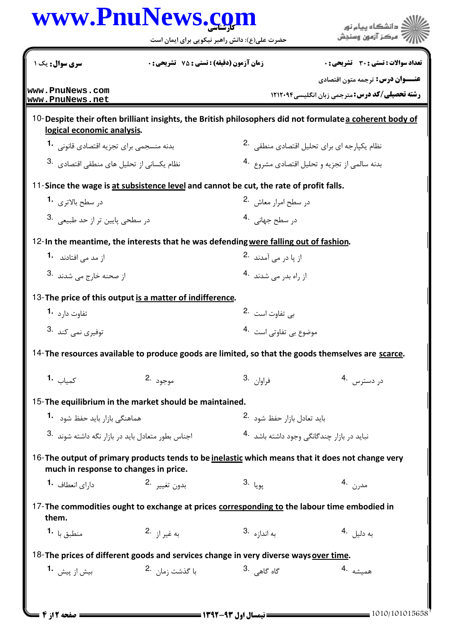|                                                   |                                                                                                   | حضرت علی(ع): دانش راهبر نیکویی برای ایمان است          | مركز آزمون وسنجش                                                                                         |  |
|---------------------------------------------------|---------------------------------------------------------------------------------------------------|--------------------------------------------------------|----------------------------------------------------------------------------------------------------------|--|
| سری سوال: یک ۱                                    | زمان آزمون (دقیقه) : تستی : 75 ٪ تشریحی : 0                                                       |                                                        | تعداد سوالات : تستى : 30 - تشريحي : 0                                                                    |  |
| www.PnuNews.com<br>www.PnuNews.net                |                                                                                                   |                                                        | <b>عنـــوان درس:</b> ترجمه متون اقتصادي<br><b>رشته تحصیلی/کد درس: مترجمی زبان انگلیسی1۲۱۲۰۹۴</b>         |  |
| logical economic analysis.                        |                                                                                                   |                                                        | 10-Despite their often brilliant insights, the British philosophers did not formulate a coherent body of |  |
| بدنه منسجمی برای تجزیه اقتصادی قانونی 1.          |                                                                                                   | نظام یکپارجه ای برای تحلیل اقتصادی منطقی <sup>.2</sup> |                                                                                                          |  |
| نظام یکسانی از تحلیل های منطقی اقتصادی .3         |                                                                                                   |                                                        | بدنه سالمي از تجزيه و تحليل اقتصادي مشروع 4.                                                             |  |
|                                                   | 11-Since the wage is at subsistence level and cannot be cut, the rate of profit falls.            |                                                        |                                                                                                          |  |
| در سطح بالاترى 1.                                 |                                                                                                   | در سطح امرار معاش 2.                                   |                                                                                                          |  |
| در سطحی پایین تر از حد طبیعی .3                   |                                                                                                   | در سطح جهانی <sup>4</sup> ۰                            |                                                                                                          |  |
|                                                   | 12-In the meantime, the interests that he was defending were falling out of fashion.              |                                                        |                                                                                                          |  |
| از مد می افتادند <b>1.</b>                        |                                                                                                   | از پا در می آمدند۔ 2                                   |                                                                                                          |  |
| از صحنه خارج مے <sub>،</sub> شدند۔ <sup>3</sup>   |                                                                                                   | از راه بدر می شدند <sup>4</sup> ۰                      |                                                                                                          |  |
|                                                   | 13-The price of this output is a matter of indifference.                                          |                                                        |                                                                                                          |  |
| تفاوت دا <sub>د</sub> د <b>-1</b>                 |                                                                                                   | بی تفاوت است 2.                                        |                                                                                                          |  |
| توفيري نمي كند .3                                 |                                                                                                   | موضوع بي تفاوتي است 4.                                 |                                                                                                          |  |
|                                                   | 14-The resources available to produce goods are limited, so that the goods themselves are scarce. |                                                        |                                                                                                          |  |
| <b>1.</b> كمياب                                   | موجود .2                                                                                          | فراوان .3                                              | در دسترس 4.                                                                                              |  |
|                                                   | 15-The equilibrium in the market should be maintained.                                            |                                                        |                                                                                                          |  |
| هماهنگی بازار باید حفظ شود <b>1</b> ۰             |                                                                                                   |                                                        | باید تعادل بازار حفظ شود 2.                                                                              |  |
| اجناس بطور متعادل باید در بازار نگه داشته شوند 8. |                                                                                                   |                                                        | نباید در بازار چندگانگی وجود داشته باشد 4.                                                               |  |
| much in response to changes in price.             | 16-The output of primary products tends to be inelastic which means that it does not change very  |                                                        |                                                                                                          |  |
| دارای انعطاف <b>1</b> ۰                           | بدون تغيير 2.                                                                                     | 3. پويا                                                | مدرن .4                                                                                                  |  |
| them.                                             | 17-The commodities ought to exchange at prices corresponding to the labour time embodied in       |                                                        |                                                                                                          |  |
| منطبق با <b>1</b> ۰                               | به غي <sub>ر أز</sub> .2                                                                          | به اندا <sub>زه</sub> 3.                               | به دليل <sup>.4</sup>                                                                                    |  |
|                                                   | 18-The prices of different goods and services change in very diverse ways over time.              |                                                        |                                                                                                          |  |
| بيش از پيش <b>1</b>                               | با گذشت <sub>زمان</sub> 2.                                                                        | گاه گاهي .3                                            | همبشه .4                                                                                                 |  |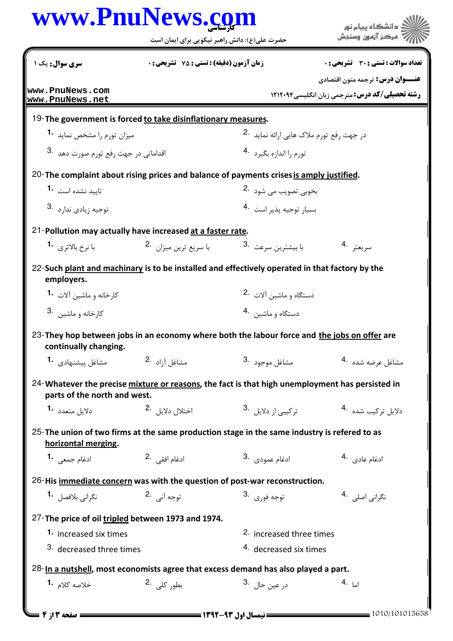| www.PnuNews.com                                                                                                                 |                                               |                                          | ار<br>اگ دانشگاه پيام <mark>نور</mark>                                                            |
|---------------------------------------------------------------------------------------------------------------------------------|-----------------------------------------------|------------------------------------------|---------------------------------------------------------------------------------------------------|
|                                                                                                                                 | حضرت علی(ع): دانش راهبر نیکویی برای ایمان است |                                          | 7' مرڪز آزمون وسنڊش                                                                               |
| سری سوال: یک ۱                                                                                                                  | زمان آزمون (دقیقه) : تستی : 75 ٪ تشریحی : 0   |                                          | تعداد سوالات : تستي : 30 ٪ تشريحي : 0                                                             |
| www.PnuNews.com                                                                                                                 |                                               |                                          | <b>عنـــوان درس:</b> ترجمه متون اقتصادي<br><b>رشته تحصیلی/کد درس: مترجمی زبان انگلیسی ۱۲۱۲۰۹۴</b> |
| www.PnuNews.net                                                                                                                 |                                               |                                          |                                                                                                   |
| 19-The government is forced to take disinflationary measures.                                                                   |                                               |                                          |                                                                                                   |
| میزان تورم را مشخص نماید <b>1</b> ۰                                                                                             |                                               | در جهت رفع تورم ملاک هایی ارائه نماید 2. |                                                                                                   |
| اقداماتی در جهت رفع تورم صورت دهد .3                                                                                            |                                               | تورم را اندازه بگیرد 4.                  |                                                                                                   |
| 20-The complaint about rising prices and balance of payments crises is amply justified.                                         |                                               |                                          |                                                                                                   |
| تابید نشده است <b>1۰</b>                                                                                                        |                                               | بخوبي تصويب مي شود۔2                     |                                                                                                   |
| توجيه زيادي ندارد .3                                                                                                            |                                               | بسيار توجيه يذير است 4.                  |                                                                                                   |
| 21-Pollution may actually have increased at a faster rate.                                                                      |                                               |                                          |                                                                                                   |
| با نرخ بالاترى <b>1</b>                                                                                                         | با سریع ترین میزان <sup>.2</sup>              | با بیشترین سرعت <sup>.3</sup>            | سريعتر <sup>.4</sup>                                                                              |
| 22-Such plant and machinary is to be installed and effectively operated in that factory by the<br>employers.                    |                                               |                                          |                                                                                                   |
| کارخانه و ماشین آلات <b>1</b> ۰                                                                                                 |                                               | دستگاه و ماشين آلات 2.                   |                                                                                                   |
| کا <sub>ر</sub> خانه و ماشین <sup>.3</sup>                                                                                      |                                               | دستگاه و ماشين 4.                        |                                                                                                   |
| 23-They hop between jobs in an economy where both the labour force and the jobs on offer are<br>continually changing.           |                                               |                                          |                                                                                                   |
| مشاغل ييشنهادى 1.                                                                                                               | 2. مشاغل آ <sub>ز</sub> اد                    | 3. مشاغل موجود                           | مشاغل عرضه شده 4.                                                                                 |
| 24-Whatever the precise mixture or reasons, the fact is that high unemployment has persisted in<br>parts of the north and west. |                                               |                                          |                                                                                                   |
| دلايل متعدد 1.                                                                                                                  | 2. اختلال دلايل                               | ترکیبی از دلایل <sup>3</sup> ۰           | دلایل ترکیب شده 4.                                                                                |
| 25-The union of two firms at the same production stage in the same industry is refered to as<br>horizontal merging.             |                                               |                                          |                                                                                                   |
| ادغام جمعی 1.                                                                                                                   | ادغام افقے 2.                                 | 3. ادغام عمودي                           | 4. ادغام عادي                                                                                     |
| 26-His immediate concern was with the question of post-war reconstruction.                                                      |                                               |                                          |                                                                                                   |
| نگرانی بلافصل . <b>1</b>                                                                                                        | توجه آني 2.                                   | توجه فو <sub>ر</sub> ي .3                | نگرانی اصلی 4.                                                                                    |
| 27-The price of oil tripled between 1973 and 1974.                                                                              |                                               |                                          |                                                                                                   |
| 1. increased six times                                                                                                          |                                               | 2. increased three times                 |                                                                                                   |
| 3. decreased three times                                                                                                        |                                               | 4. decreased six times                   |                                                                                                   |
| $28$ -In a nutshell, most economists agree that excess demand has also played a part.                                           |                                               |                                          |                                                                                                   |
| خلاصه کلام <b>1.</b>                                                                                                            | بطور کلی . <sup>2</sup>                       | در عين حال <sup>3</sup> .                | اما .4                                                                                            |